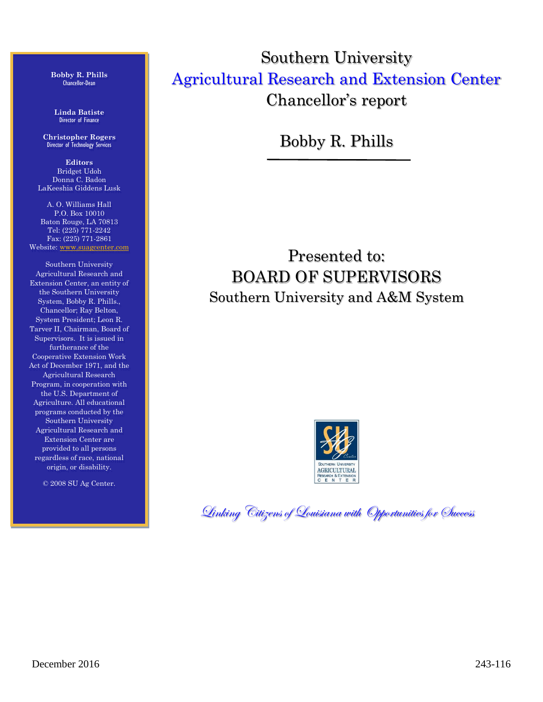**Bobby R. Phills** Chancellor-Dean

**Linda Batiste** Director of Finance

**Christopher Rogers** Director of Technology Services

**Editors** Bridget Udoh Donna C. Badon LaKeeshia Giddens Lusk

A. O. Williams Hall P.O. Box 10010 Baton Rouge, LA 70813 Tel: (225) 771-2242 Fax: (225) 771-2861 Website: [www.suagcenter.com](http://www.suagcenter.com/)

Southern University Agricultural Research and Extension Center, an entity of the Southern University System, Bobby R. Phills., Chancellor; Ray Belton, System President; Leon R. Tarver II, Chairman, Board of Supervisors. It is issued in furtherance of the Cooperative Extension Work Act of December 1971, and the Agricultural Research Program, in cooperation with the U.S. Department of Agriculture. All educational programs conducted by the Southern University Agricultural Research and Extension Center are provided to all persons regardless of race, national origin, or disability.

© 2008 SU Ag Center.

Southern University Agricultural Research and Extension Center Chancellor's report

Bobby R. Phills

Presented to: BOARD OF SUPERVISORS Southern University and A&M System



Linking Citizens of Louisiana with Opportunities for Success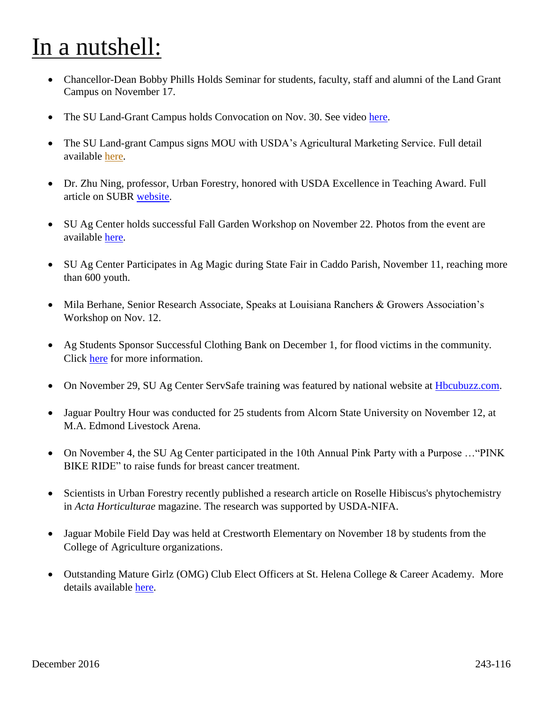## In a nutshell:

- Chancellor-Dean Bobby Phills Holds Seminar for students, faculty, staff and alumni of the Land Grant Campus on November 17.
- The SU Land-Grant Campus holds Convocation on Nov. 30. See video [here.](https://www.youtube.com/watch?v=B_kQvRzkGq4)
- The SU Land-grant Campus signs MOU with USDA's Agricultural Marketing Service. Full detail available [here.](https://suagcenter.blogspot.com/2016/11/su-ag-center-college-of-ag-enters-into.html)
- Dr. Zhu Ning, professor, Urban Forestry, honored with USDA Excellence in Teaching Award. Full article on SUBR [website.](http://www.subr.edu/index.cfm/newsroom/detail/978)
- SU Ag Center holds successful Fall Garden Workshop on November 22. Photos from the event are available [here.](https://goo.gl/photos/nzM11sKvWLtPPuzu8)
- SU Ag Center Participates in Ag Magic during State Fair in Caddo Parish, November 11, reaching more than 600 youth.
- Mila Berhane, Senior Research Associate, Speaks at Louisiana Ranchers & Growers Association's Workshop on Nov. 12.
- Ag Students Sponsor Successful Clothing Bank on December 1, for flood victims in the community. Click [here](https://suagcenter.blogspot.com/2016/12/southern-university-ag-students.html) for more information.
- On November 29, SU Ag Center ServSafe training was featured by national website at [Hbcubuzz.com.](https://hbcubuzz.com/2016/11/su-ag-center-offers-free-servsafe-certifications/)
- Jaguar Poultry Hour was conducted for 25 students from Alcorn State University on November 12, at M.A. Edmond Livestock Arena.
- On November 4, the SU Ag Center participated in the 10th Annual Pink Party with a Purpose ... "PINK" BIKE RIDE" to raise funds for breast cancer treatment.
- Scientists in Urban Forestry recently published a research article on Roselle Hibiscus's phytochemistry in *Acta Horticulturae* magazine. The research was supported by USDA-NIFA.
- Jaguar Mobile Field Day was held at Crestworth Elementary on November 18 by students from the College of Agriculture organizations.
- Outstanding Mature Girlz (OMG) Club Elect Officers at St. Helena College & Career Academy. More details available [here.](https://suagcenter.blogspot.com/2016/11/outstanding-mature-girlz-club-elect.html)